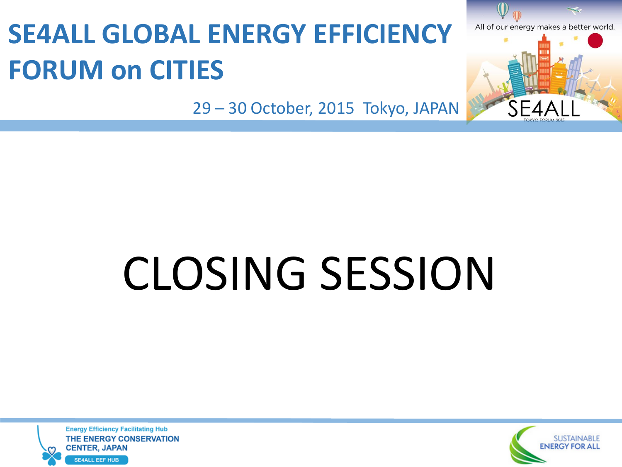## **SE4ALL GLOBAL ENERGY EFFICIENCY FORUM on CITIES**

29 – 30 October, 2015 Tokyo, JAPAN

# CLOSING SESSION

**Energy Efficiency Facilitating Hub** THE ENERGY CONSERVATION **CENTER, JAPAN SE4ALL EEF HUB** 



All of our energy makes a better world.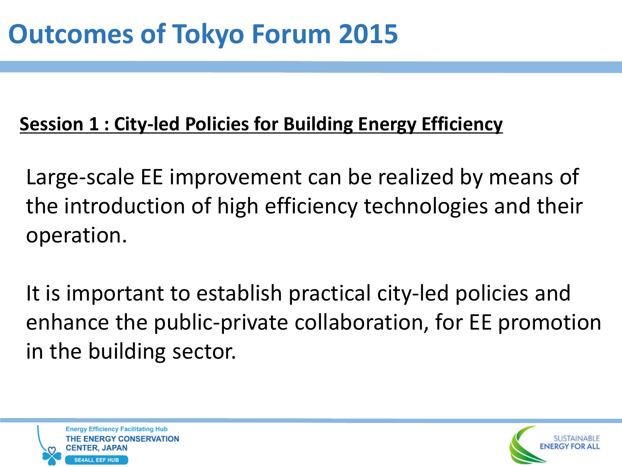#### **Session 1 : City-led Policies for Building Energy Efficiency**

Large-scale EE improvement can be realized by means of the introduction of high efficiency technologies and their operation.

It is important to establish practical city-led policies and enhance the public-private collaboration, for EE promotion in the building sector.



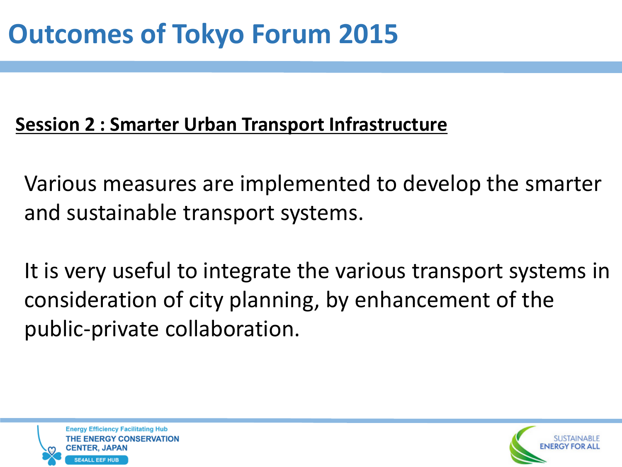#### **Session 2 : Smarter Urban Transport Infrastructure**

Various measures are implemented to develop the smarter and sustainable transport systems.

It is very useful to integrate the various transport systems in consideration of city planning, by enhancement of the public-private collaboration.



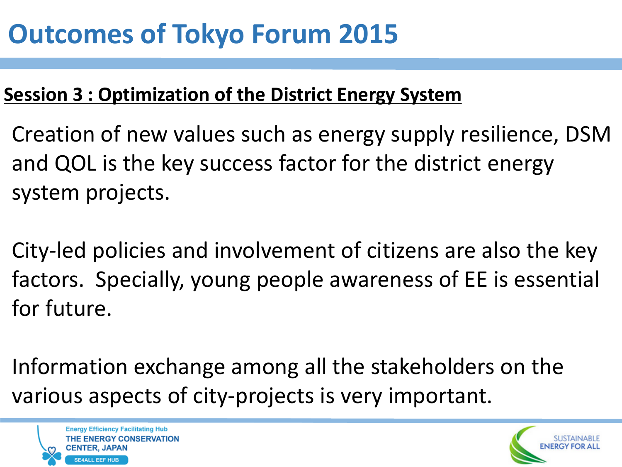### **Outcomes of Tokyo Forum 2015**

#### **Session 3 : Optimization of the District Energy System**

- Creation of new values such as energy supply resilience, DSM and QOL is the key success factor for the district energy system projects.
- City-led policies and involvement of citizens are also the key factors. Specially, young people awareness of EE is essential for future.
- Information exchange among all the stakeholders on the various aspects of city-projects is very important.



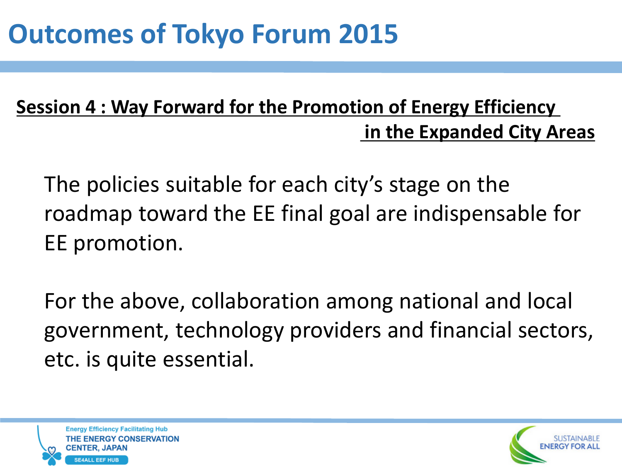### **Outcomes of Tokyo Forum 2015**

#### **Session 4 : Way Forward for the Promotion of Energy Efficiency in the Expanded City Areas**

The policies suitable for each city's stage on the roadmap toward the EE final goal are indispensable for EE promotion.

For the above, collaboration among national and local government, technology providers and financial sectors, etc. is quite essential.



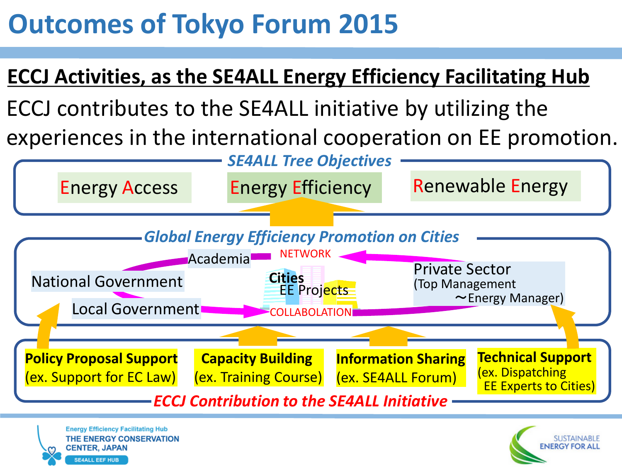### **Outcomes of Tokyo Forum 2015**

#### **ECCJ Activities, as the SE4ALL Energy Efficiency Facilitating Hub**

ECCJ contributes to the SE4ALL initiative by utilizing the experiences in the international cooperation on EE promotion.



THE ENERGY CONSERVATION **CENTER, JAPAI SE4ALL EEF HUB**